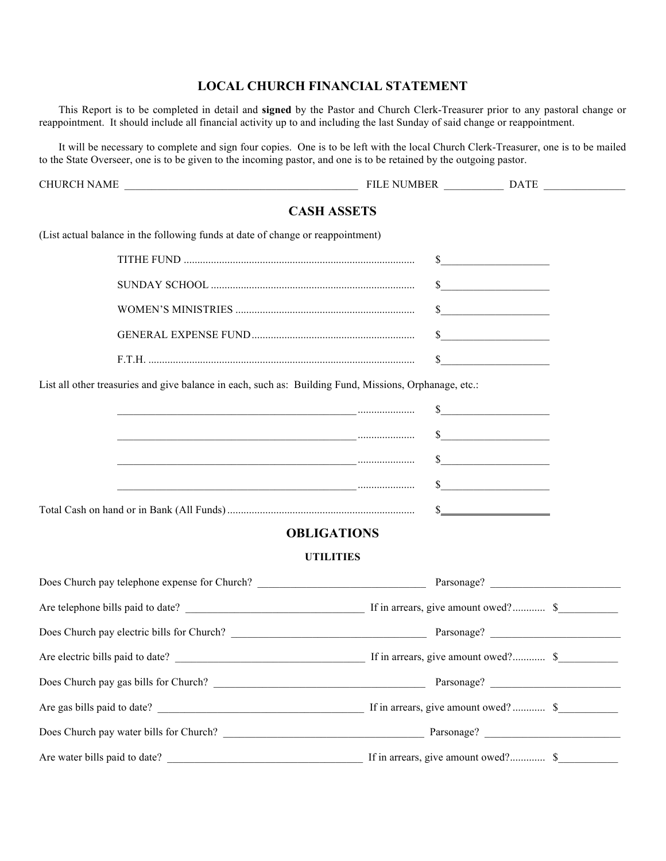## **LOCAL CHURCH FINANCIAL STATEMENT**

This Report is to be completed in detail and **signed** by the Pastor and Church Clerk-Treasurer prior to any pastoral change or reappointment. It should include all financial activity up to and including the last Sunday of said change or reappointment.

It will be necessary to complete and sign four copies. One is to be left with the local Church Clerk-Treasurer, one is to be mailed to the State Overseer, one is to be given to the incoming pastor, and one is to be retained by the outgoing pastor.

|                               |                                                                                                        | <b>CASH ASSETS</b> |                             |
|-------------------------------|--------------------------------------------------------------------------------------------------------|--------------------|-----------------------------|
|                               | (List actual balance in the following funds at date of change or reappointment)                        |                    |                             |
|                               |                                                                                                        |                    | $\frac{1}{2}$               |
|                               |                                                                                                        |                    | $\frac{1}{\sqrt{2}}$        |
|                               |                                                                                                        |                    | s                           |
|                               |                                                                                                        |                    | $\frac{\text{S}}{\text{S}}$ |
|                               |                                                                                                        |                    | s                           |
|                               | List all other treasuries and give balance in each, such as: Building Fund, Missions, Orphanage, etc.: |                    |                             |
|                               | <u> 1989 - Johann Stein, fransk politiker (d. 1989)</u>                                                |                    | $\sim$                      |
|                               |                                                                                                        |                    | $\sim$                      |
|                               | <u> 1980 - Jan Sterling von Berger (* 1950)</u>                                                        |                    | $\frac{1}{2}$               |
|                               | <u> 1980 - Andrea Andrew Maria (h. 1980).</u><br>1980 - Andrew Maria (h. 1980).                        |                    | $\sim$                      |
|                               |                                                                                                        |                    |                             |
|                               |                                                                                                        | <b>OBLIGATIONS</b> |                             |
|                               |                                                                                                        | <b>UTILITIES</b>   |                             |
|                               |                                                                                                        |                    |                             |
|                               |                                                                                                        |                    |                             |
|                               |                                                                                                        |                    |                             |
|                               |                                                                                                        |                    |                             |
|                               |                                                                                                        |                    |                             |
|                               |                                                                                                        |                    |                             |
|                               |                                                                                                        |                    |                             |
| Are water bills paid to date? |                                                                                                        |                    |                             |